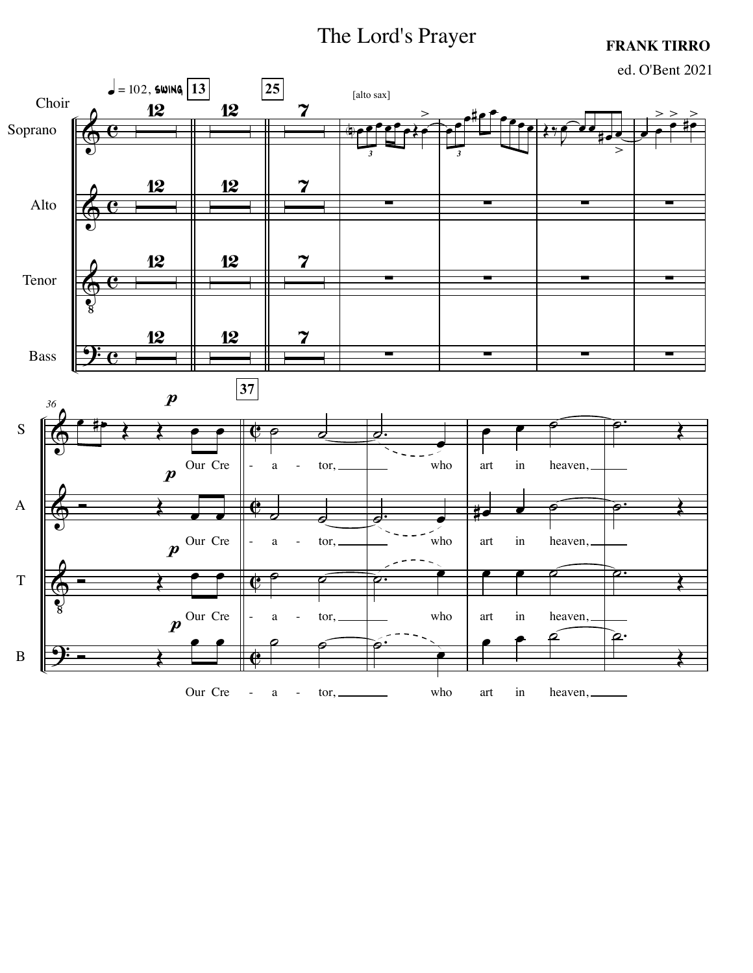## The Lord's Prayer

## **FRANK TIRRO**



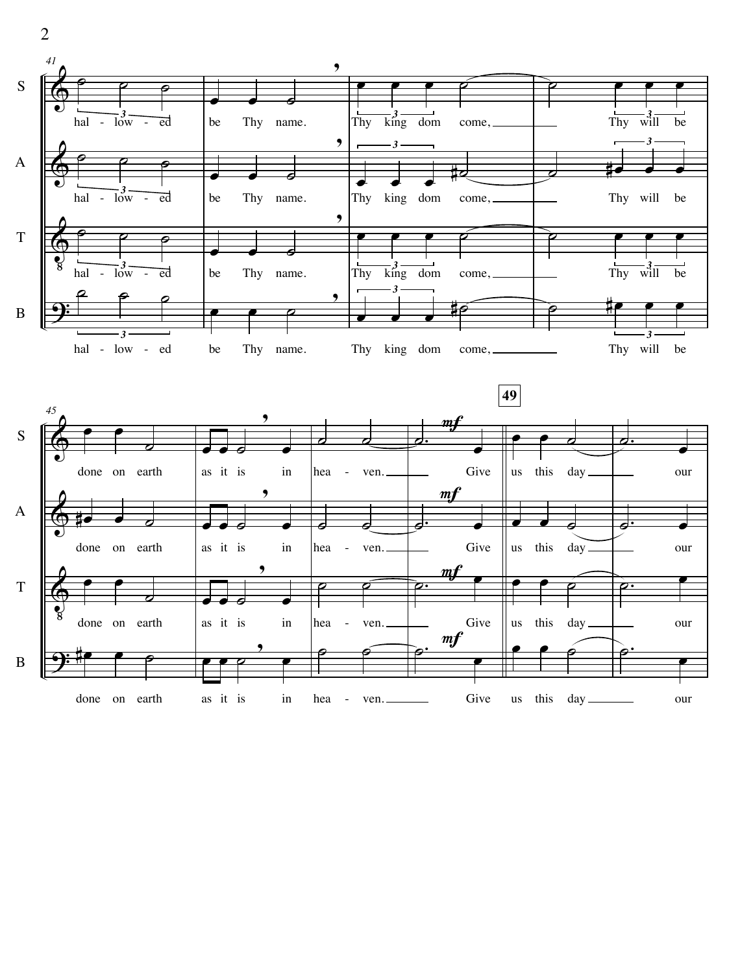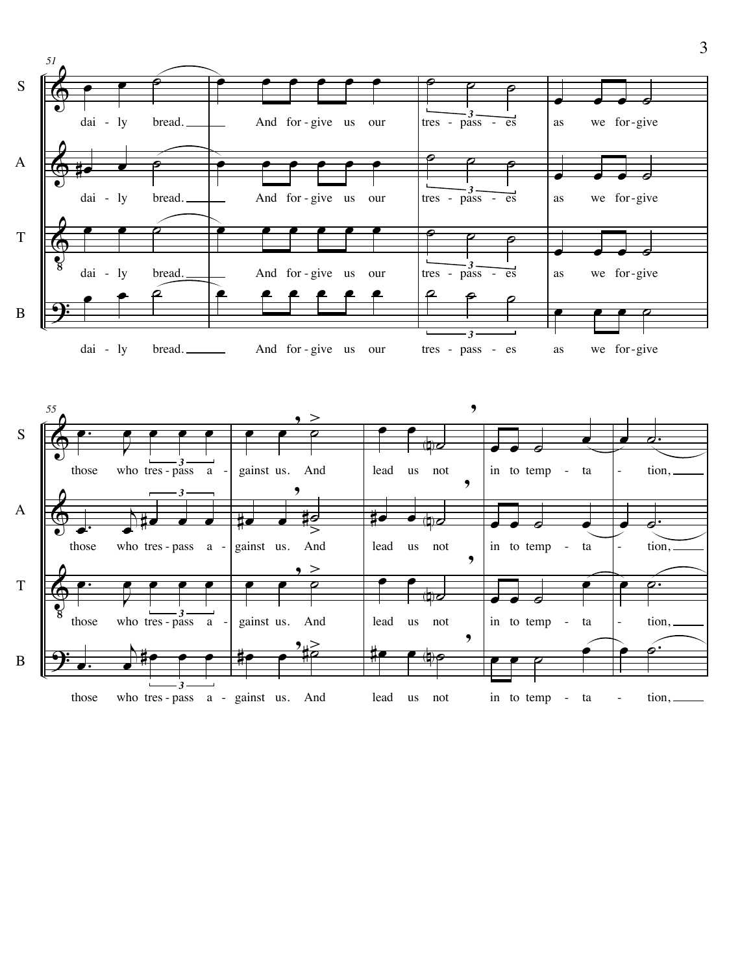



<sup>œ</sup> <sup>œ</sup> , ˙>

œ .

 $\overline{T}$ 

 $\bf{B}$ 

Jœ

œ

# œ œ

œ

œ .  $\frac{1}{\sqrt{2}}$ *3* those who tres - pass a - gainst us. And lead us not in to temp - ta tion, - -

<sup>œ</sup> <sup>œ</sup> N˙

,

 $\begin{array}{|c|c|c|c|c|}\n\hline\n\bullet & \bullet & \bullet & \bullet & \bullet\n\end{array}$ 

œ

œ

-

˙  $\frac{1}{2}$ 

tion,

。<br>P .<br>-<br>-

in to temp - ta

-

 $e$   $e$   $e$ 

,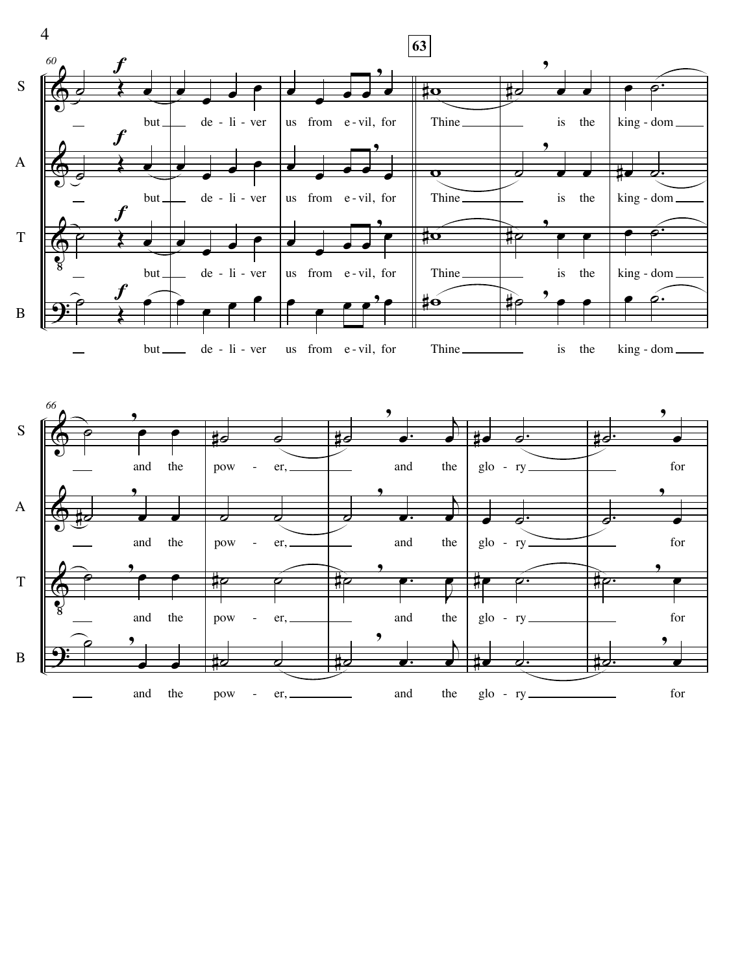